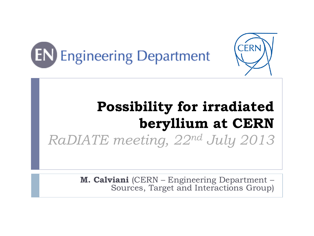



# **Possibility for irradiated beryllium at CERN** *RaDIATE meeting, 22nd July 2013*

**M. Calviani** (CERN – Engineering Department – Sources, Target and Interactions Group)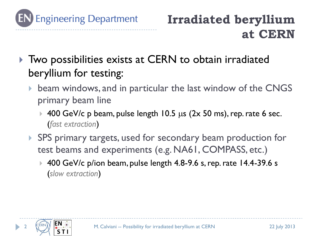

## **Irradiated beryllium at CERN**

- ▶ Two possibilities exists at CERN to obtain irradiated beryllium for testing:
	- beam windows, and in particular the last window of the CNGS primary beam line
		- $\rightarrow$  400 GeV/c p beam, pulse length 10.5 µs (2x 50 ms), rep. rate 6 sec. (*fast extraction*)
	- ▶ SPS primary targets, used for secondary beam production for test beams and experiments (e.g. NA61, COMPASS, etc.)
		- ▶ 400 GeV/c p/ion beam, pulse length 4.8-9.6 s, rep. rate 14.4-39.6 s (*slow extraction*)

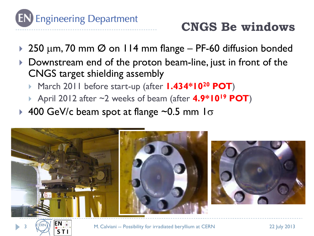

#### **CNGS Be windows**

- ▶ 250 µm, 70 mm  $\emptyset$  on 114 mm flange PF-60 diffusion bonded
- Downstream end of the proton beam-line, just in front of the CNGS target shielding assembly
	- March 2011 before start-up (after **1.434\*10<sup>20</sup> POT**)
	- April 2012 after ~2 weeks of beam (after **4.9\*10<sup>19</sup> POT**)
- ▶ 400 GeV/c beam spot at flange  $\sim$ 0.5 mm  $\sigma$





3

M. Calviani -- Possibility for irradiated beryllium at CERN 22 July 2013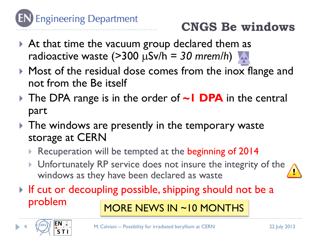

## **CNGS Be windows**

- At that time the vacuum group declared them as radioactive waste  $($ >300 µSv/h = 30 mrem/h)
- $\triangleright$  Most of the residual dose comes from the inox flange and not from the Be itself
- The DPA range is in the order of **~1 DPA** in the central part
- $\triangleright$  The windows are presently in the temporary waste storage at CERN
	- Recuperation will be tempted at the beginning of 2014
	- **I** Unfortunately RP service does not insure the integrity of the windows as they have been declared as waste
- If cut or decoupling possible, shipping should not be a problem MORE NEWS IN ~10 MONTHS

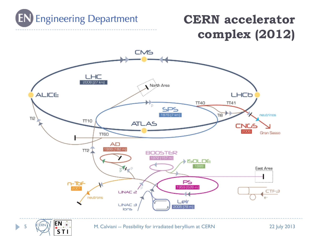

### **CERN accelerator complex (2012)**



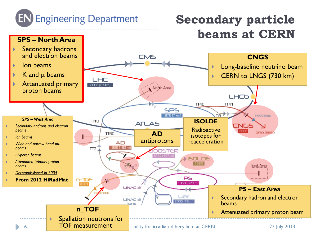

### **Secondary particle beams at CERN**

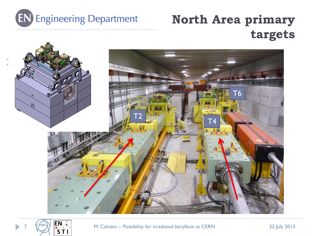

### **North Area primary targets**





**1 Mars 19 M.** Calviani -- Possibility for irradiated beryllium at CERN 22 July 2013<br>
STI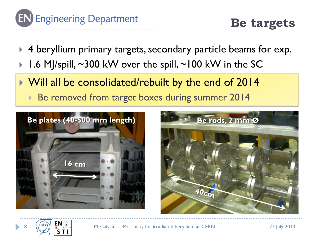

**Be targets**

- ▶ 4 beryllium primary targets, secondary particle beams for exp.
- 1.6 MJ/spill,  $\sim$ 300 kW over the spill,  $\sim$ 100 kW in the SC
- Will all be consolidated/rebuilt by the end of 2014
	- ▶ Be removed from target boxes during summer 2014





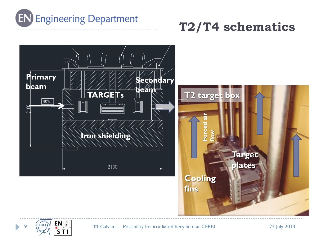

#### **T2/T4 schematics**



EN SR M. Calviani -- Possibility for irradiated beryllium at CERN 22 July 2013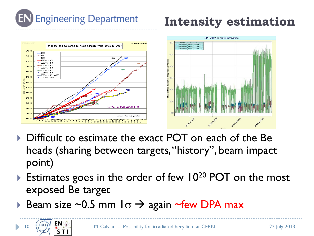

10

## **Intensity estimation**



- ▶ Difficult to estimate the exact POT on each of the Be heads (sharing between targets, "history", beam impact point)
- Estimates goes in the order of few  $10^{20}$  POT on the most exposed Be target
- Beam size ~0.5 mm  $1\sigma \rightarrow$  again ~few DPA max